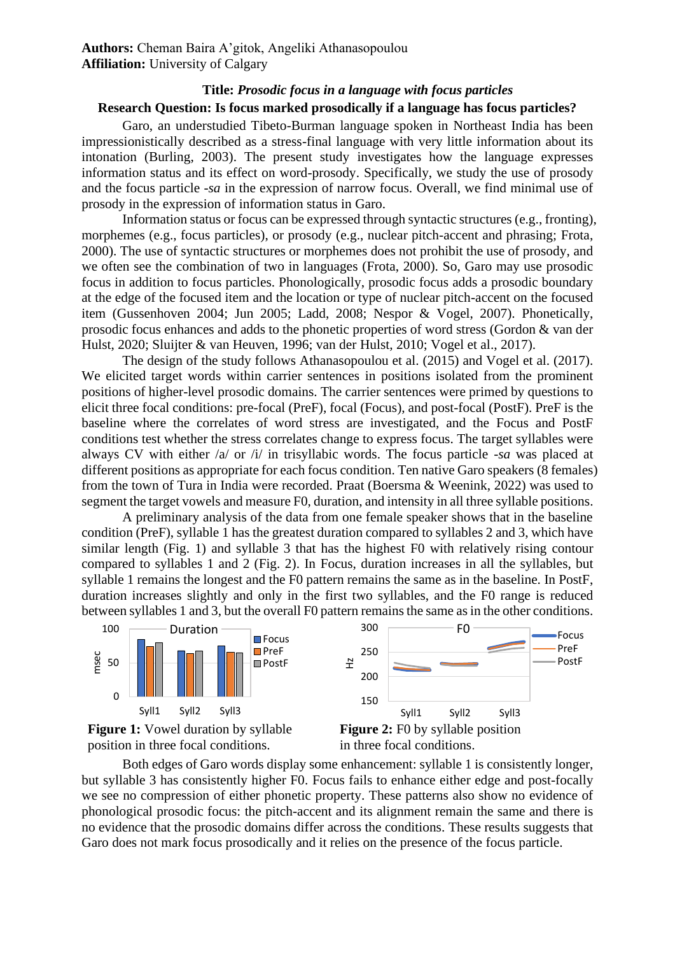## **Title:** *Prosodic focus in a language with focus particles*

## **Research Question: Is focus marked prosodically if a language has focus particles?**

Garo, an understudied Tibeto-Burman language spoken in Northeast India has been impressionistically described as a stress-final language with very little information about its intonation (Burling, 2003). The present study investigates how the language expresses information status and its effect on word-prosody. Specifically, we study the use of prosody and the focus particle *-sa* in the expression of narrow focus. Overall, we find minimal use of prosody in the expression of information status in Garo.

Information status or focus can be expressed through syntactic structures (e.g., fronting), morphemes (e.g., focus particles), or prosody (e.g., nuclear pitch-accent and phrasing; Frota, 2000). The use of syntactic structures or morphemes does not prohibit the use of prosody, and we often see the combination of two in languages (Frota, 2000). So, Garo may use prosodic focus in addition to focus particles. Phonologically, prosodic focus adds a prosodic boundary at the edge of the focused item and the location or type of nuclear pitch-accent on the focused item (Gussenhoven 2004; Jun 2005; Ladd, 2008; Nespor & Vogel, 2007). Phonetically, prosodic focus enhances and adds to the phonetic properties of word stress (Gordon & van der Hulst, 2020; Sluijter & van Heuven, 1996; van der Hulst, 2010; Vogel et al., 2017).

The design of the study follows Athanasopoulou et al. (2015) and Vogel et al. (2017). We elicited target words within carrier sentences in positions isolated from the prominent positions of higher-level prosodic domains. The carrier sentences were primed by questions to elicit three focal conditions: pre-focal (PreF), focal (Focus), and post-focal (PostF). PreF is the baseline where the correlates of word stress are investigated, and the Focus and PostF conditions test whether the stress correlates change to express focus. The target syllables were always CV with either /a/ or /i/ in trisyllabic words. The focus particle *-sa* was placed at different positions as appropriate for each focus condition. Ten native Garo speakers (8 females) from the town of Tura in India were recorded. Praat (Boersma & Weenink, 2022) was used to segment the target vowels and measure F0, duration, and intensity in all three syllable positions.

A preliminary analysis of the data from one female speaker shows that in the baseline condition (PreF), syllable 1 has the greatest duration compared to syllables 2 and 3, which have similar length (Fig. 1) and syllable 3 that has the highest F0 with relatively rising contour compared to syllables 1 and 2 (Fig. 2). In Focus, duration increases in all the syllables, but syllable 1 remains the longest and the F0 pattern remains the same as in the baseline. In PostF, duration increases slightly and only in the first two syllables, and the F0 range is reduced between syllables 1 and 3, but the overall F0 pattern remainsthe same as in the other conditions.



Both edges of Garo words display some enhancement: syllable 1 is consistently longer, but syllable 3 has consistently higher F0. Focus fails to enhance either edge and post-focally we see no compression of either phonetic property. These patterns also show no evidence of phonological prosodic focus: the pitch-accent and its alignment remain the same and there is no evidence that the prosodic domains differ across the conditions. These results suggests that Garo does not mark focus prosodically and it relies on the presence of the focus particle.